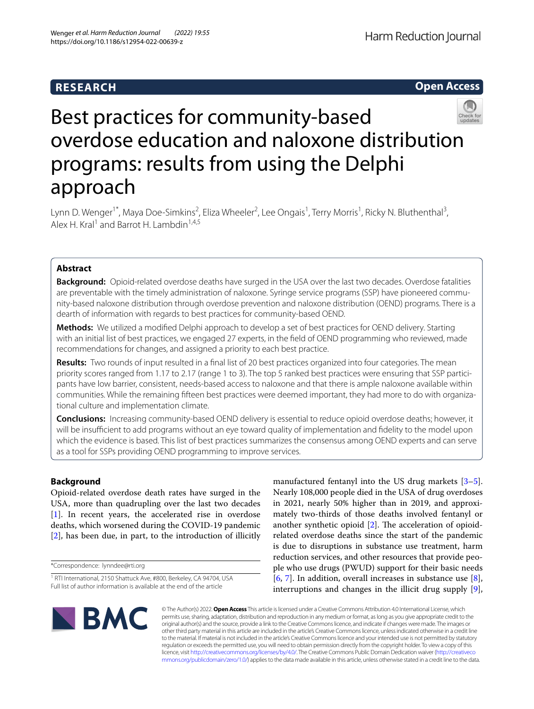# **RESEARCH**

**Open Access**

# Best practices for community-based overdose education and naloxone distribution programs: results from using the Delphi approach

Lynn D. Wenger<sup>1\*</sup>, Maya Doe-Simkins<sup>2</sup>, Eliza Wheeler<sup>2</sup>, Lee Ongais<sup>1</sup>, Terry Morris<sup>1</sup>, Ricky N. Bluthenthal<sup>3</sup>, Alex H. Kral<sup>1</sup> and Barrot H. Lambdin<sup>1,4,5</sup>

# **Abstract**

**Background:** Opioid-related overdose deaths have surged in the USA over the last two decades. Overdose fatalities are preventable with the timely administration of naloxone. Syringe service programs (SSP) have pioneered community-based naloxone distribution through overdose prevention and naloxone distribution (OEND) programs. There is a dearth of information with regards to best practices for community-based OEND.

**Methods:** We utilized a modifed Delphi approach to develop a set of best practices for OEND delivery. Starting with an initial list of best practices, we engaged 27 experts, in the feld of OEND programming who reviewed, made recommendations for changes, and assigned a priority to each best practice.

**Results:** Two rounds of input resulted in a fnal list of 20 best practices organized into four categories. The mean priority scores ranged from 1.17 to 2.17 (range 1 to 3). The top 5 ranked best practices were ensuring that SSP participants have low barrier, consistent, needs-based access to naloxone and that there is ample naloxone available within communities. While the remaining ffteen best practices were deemed important, they had more to do with organiza‑ tional culture and implementation climate.

**Conclusions:** Increasing community-based OEND delivery is essential to reduce opioid overdose deaths; however, it will be insufficient to add programs without an eye toward quality of implementation and fidelity to the model upon which the evidence is based. This list of best practices summarizes the consensus among OEND experts and can serve as a tool for SSPs providing OEND programming to improve services.

## **Background**

Opioid-related overdose death rates have surged in the USA, more than quadrupling over the last two decades [[1\]](#page-7-0). In recent years, the accelerated rise in overdose deaths, which worsened during the COVID-19 pandemic [[2\]](#page-7-1), has been due, in part, to the introduction of illicitly

\*Correspondence: lynndee@rti.org

manufactured fentanyl into the US drug markets [\[3](#page-7-2)[–5](#page-7-3)]. Nearly 108,000 people died in the USA of drug overdoses in 2021, nearly 50% higher than in 2019, and approximately two-thirds of those deaths involved fentanyl or another synthetic opioid  $[2]$  $[2]$ . The acceleration of opioidrelated overdose deaths since the start of the pandemic is due to disruptions in substance use treatment, harm reduction services, and other resources that provide people who use drugs (PWUD) support for their basic needs [[6,](#page-7-4) [7](#page-7-5)]. In addition, overall increases in substance use  $[8]$  $[8]$ , interruptions and changes in the illicit drug supply [\[9](#page-7-7)],



© The Author(s) 2022. **Open Access** This article is licensed under a Creative Commons Attribution 4.0 International License, which permits use, sharing, adaptation, distribution and reproduction in any medium or format, as long as you give appropriate credit to the original author(s) and the source, provide a link to the Creative Commons licence, and indicate if changes were made. The images or other third party material in this article are included in the article's Creative Commons licence, unless indicated otherwise in a credit line to the material. If material is not included in the article's Creative Commons licence and your intended use is not permitted by statutory regulation or exceeds the permitted use, you will need to obtain permission directly from the copyright holder. To view a copy of this licence, visit [http://creativecommons.org/licenses/by/4.0/.](http://creativecommons.org/licenses/by/4.0/) The Creative Commons Public Domain Dedication waiver ([http://creativeco](http://creativecommons.org/publicdomain/zero/1.0/) [mmons.org/publicdomain/zero/1.0/](http://creativecommons.org/publicdomain/zero/1.0/)) applies to the data made available in this article, unless otherwise stated in a credit line to the data.

<sup>&</sup>lt;sup>1</sup> RTI International, 2150 Shattuck Ave, #800, Berkeley, CA 94704, USA Full list of author information is available at the end of the article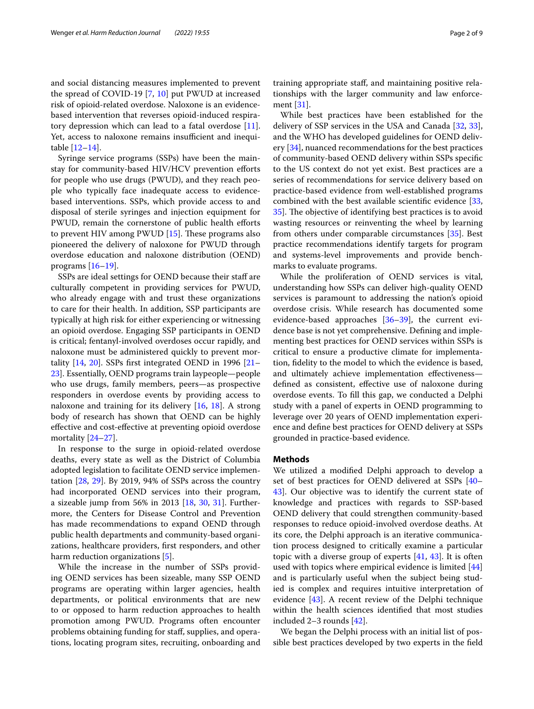and social distancing measures implemented to prevent the spread of COVID-19 [\[7,](#page-7-5) [10\]](#page-7-8) put PWUD at increased risk of opioid-related overdose. Naloxone is an evidencebased intervention that reverses opioid-induced respiratory depression which can lead to a fatal overdose [\[11](#page-7-9)]. Yet, access to naloxone remains insufficient and inequitable [\[12–](#page-7-10)[14\]](#page-7-11).

Syringe service programs (SSPs) have been the mainstay for community-based HIV/HCV prevention efforts for people who use drugs (PWUD), and they reach people who typically face inadequate access to evidencebased interventions. SSPs, which provide access to and disposal of sterile syringes and injection equipment for PWUD, remain the cornerstone of public health efforts to prevent HIV among PWUD  $[15]$  $[15]$ . These programs also pioneered the delivery of naloxone for PWUD through overdose education and naloxone distribution (OEND) programs  $[16–19]$  $[16–19]$  $[16–19]$ .

SSPs are ideal settings for OEND because their staff are culturally competent in providing services for PWUD, who already engage with and trust these organizations to care for their health. In addition, SSP participants are typically at high risk for either experiencing or witnessing an opioid overdose. Engaging SSP participants in OEND is critical; fentanyl-involved overdoses occur rapidly, and naloxone must be administered quickly to prevent mortality  $[14, 20]$  $[14, 20]$  $[14, 20]$  $[14, 20]$  $[14, 20]$ . SSPs first integrated OEND in 1996  $[21-$ [23\]](#page-8-3). Essentially, OEND programs train laypeople—people who use drugs, family members, peers—as prospective responders in overdose events by providing access to naloxone and training for its delivery [[16](#page-7-13), [18](#page-8-4)]. A strong body of research has shown that OEND can be highly efective and cost-efective at preventing opioid overdose mortality [\[24–](#page-8-5)[27\]](#page-8-6).

In response to the surge in opioid-related overdose deaths, every state as well as the District of Columbia adopted legislation to facilitate OEND service implementation [\[28](#page-8-7), [29](#page-8-8)]. By 2019, 94% of SSPs across the country had incorporated OEND services into their program, a sizeable jump from 56% in 2013 [\[18](#page-8-4), [30,](#page-8-9) [31](#page-8-10)]. Furthermore, the Centers for Disease Control and Prevention has made recommendations to expand OEND through public health departments and community-based organizations, healthcare providers, frst responders, and other harm reduction organizations [[5\]](#page-7-3).

While the increase in the number of SSPs providing OEND services has been sizeable, many SSP OEND programs are operating within larger agencies, health departments, or political environments that are new to or opposed to harm reduction approaches to health promotion among PWUD. Programs often encounter problems obtaining funding for staf, supplies, and operations, locating program sites, recruiting, onboarding and training appropriate staf, and maintaining positive relationships with the larger community and law enforcement [[31](#page-8-10)].

While best practices have been established for the delivery of SSP services in the USA and Canada [\[32](#page-8-11), [33](#page-8-12)], and the WHO has developed guidelines for OEND delivery  $[34]$ , nuanced recommendations for the best practices of community-based OEND delivery within SSPs specifc to the US context do not yet exist. Best practices are a series of recommendations for service delivery based on practice-based evidence from well-established programs combined with the best available scientifc evidence [[33](#page-8-12), [35\]](#page-8-14). The objective of identifying best practices is to avoid wasting resources or reinventing the wheel by learning from others under comparable circumstances [\[35\]](#page-8-14). Best practice recommendations identify targets for program and systems-level improvements and provide benchmarks to evaluate programs.

While the proliferation of OEND services is vital, understanding how SSPs can deliver high-quality OEND services is paramount to addressing the nation's opioid overdose crisis. While research has documented some evidence-based approaches [[36–](#page-8-15)[39](#page-8-16)], the current evidence base is not yet comprehensive. Defning and implementing best practices for OEND services within SSPs is critical to ensure a productive climate for implementation, fdelity to the model to which the evidence is based, and ultimately achieve implementation efectiveness defned as consistent, efective use of naloxone during overdose events. To fll this gap, we conducted a Delphi study with a panel of experts in OEND programming to leverage over 20 years of OEND implementation experience and defne best practices for OEND delivery at SSPs grounded in practice-based evidence.

#### **Methods**

We utilized a modifed Delphi approach to develop a set of best practices for OEND delivered at SSPs [[40–](#page-8-17) [43\]](#page-8-18). Our objective was to identify the current state of knowledge and practices with regards to SSP-based OEND delivery that could strengthen community-based responses to reduce opioid-involved overdose deaths. At its core, the Delphi approach is an iterative communication process designed to critically examine a particular topic with a diverse group of experts [[41](#page-8-19), [43\]](#page-8-18). It is often used with topics where empirical evidence is limited [[44](#page-8-20)] and is particularly useful when the subject being studied is complex and requires intuitive interpretation of evidence [[43](#page-8-18)]. A recent review of the Delphi technique within the health sciences identifed that most studies included 2–3 rounds [[42\]](#page-8-21).

We began the Delphi process with an initial list of possible best practices developed by two experts in the feld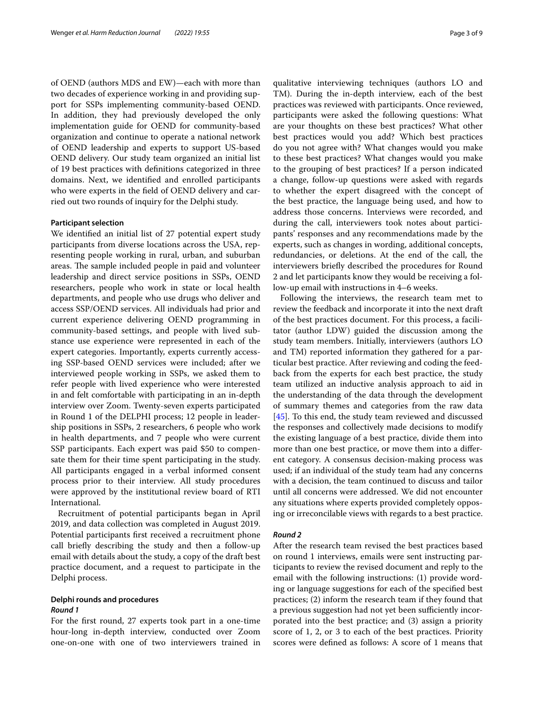of OEND (authors MDS and EW)—each with more than two decades of experience working in and providing support for SSPs implementing community-based OEND. In addition, they had previously developed the only implementation guide for OEND for community-based organization and continue to operate a national network of OEND leadership and experts to support US-based OEND delivery. Our study team organized an initial list of 19 best practices with defnitions categorized in three domains. Next, we identifed and enrolled participants who were experts in the feld of OEND delivery and carried out two rounds of inquiry for the Delphi study.

#### **Participant selection**

We identifed an initial list of 27 potential expert study participants from diverse locations across the USA, representing people working in rural, urban, and suburban areas. The sample included people in paid and volunteer leadership and direct service positions in SSPs, OEND researchers, people who work in state or local health departments, and people who use drugs who deliver and access SSP/OEND services. All individuals had prior and current experience delivering OEND programming in community-based settings, and people with lived substance use experience were represented in each of the expert categories. Importantly, experts currently accessing SSP-based OEND services were included; after we interviewed people working in SSPs, we asked them to refer people with lived experience who were interested in and felt comfortable with participating in an in-depth interview over Zoom. Twenty-seven experts participated in Round 1 of the DELPHI process; 12 people in leadership positions in SSPs, 2 researchers, 6 people who work in health departments, and 7 people who were current SSP participants. Each expert was paid \$50 to compensate them for their time spent participating in the study. All participants engaged in a verbal informed consent process prior to their interview. All study procedures were approved by the institutional review board of RTI International.

Recruitment of potential participants began in April 2019, and data collection was completed in August 2019. Potential participants frst received a recruitment phone call briefy describing the study and then a follow-up email with details about the study, a copy of the draft best practice document, and a request to participate in the Delphi process.

#### **Delphi rounds and procedures** *Round 1*

For the frst round, 27 experts took part in a one-time hour-long in-depth interview, conducted over Zoom one-on-one with one of two interviewers trained in

qualitative interviewing techniques (authors LO and TM). During the in-depth interview, each of the best practices was reviewed with participants. Once reviewed, participants were asked the following questions: What are your thoughts on these best practices? What other best practices would you add? Which best practices do you not agree with? What changes would you make to these best practices? What changes would you make to the grouping of best practices? If a person indicated a change, follow-up questions were asked with regards to whether the expert disagreed with the concept of the best practice, the language being used, and how to address those concerns. Interviews were recorded, and during the call, interviewers took notes about participants' responses and any recommendations made by the experts, such as changes in wording, additional concepts, redundancies, or deletions. At the end of the call, the interviewers briefy described the procedures for Round 2 and let participants know they would be receiving a follow-up email with instructions in 4–6 weeks.

Following the interviews, the research team met to review the feedback and incorporate it into the next draft of the best practices document. For this process, a facilitator (author LDW) guided the discussion among the study team members. Initially, interviewers (authors LO and TM) reported information they gathered for a particular best practice. After reviewing and coding the feedback from the experts for each best practice, the study team utilized an inductive analysis approach to aid in the understanding of the data through the development of summary themes and categories from the raw data [[45\]](#page-8-22). To this end, the study team reviewed and discussed the responses and collectively made decisions to modify the existing language of a best practice, divide them into more than one best practice, or move them into a diferent category. A consensus decision-making process was used; if an individual of the study team had any concerns with a decision, the team continued to discuss and tailor until all concerns were addressed. We did not encounter any situations where experts provided completely opposing or irreconcilable views with regards to a best practice.

#### *Round 2*

After the research team revised the best practices based on round 1 interviews, emails were sent instructing participants to review the revised document and reply to the email with the following instructions: (1) provide wording or language suggestions for each of the specifed best practices; (2) inform the research team if they found that a previous suggestion had not yet been sufficiently incorporated into the best practice; and (3) assign a priority score of 1, 2, or 3 to each of the best practices. Priority scores were defned as follows: A score of 1 means that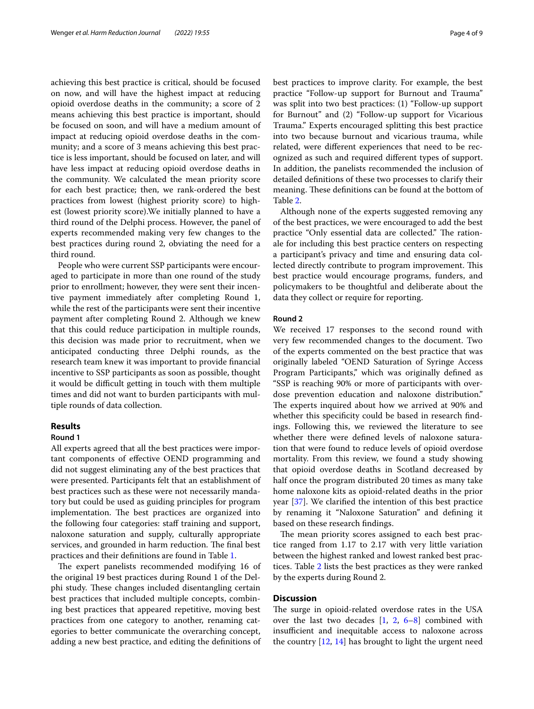achieving this best practice is critical, should be focused on now, and will have the highest impact at reducing opioid overdose deaths in the community; a score of 2 means achieving this best practice is important, should be focused on soon, and will have a medium amount of impact at reducing opioid overdose deaths in the community; and a score of 3 means achieving this best practice is less important, should be focused on later, and will have less impact at reducing opioid overdose deaths in the community. We calculated the mean priority score for each best practice; then, we rank-ordered the best practices from lowest (highest priority score) to highest (lowest priority score).We initially planned to have a third round of the Delphi process. However, the panel of experts recommended making very few changes to the best practices during round 2, obviating the need for a third round.

People who were current SSP participants were encouraged to participate in more than one round of the study prior to enrollment; however, they were sent their incentive payment immediately after completing Round 1, while the rest of the participants were sent their incentive payment after completing Round 2. Although we knew that this could reduce participation in multiple rounds, this decision was made prior to recruitment, when we anticipated conducting three Delphi rounds, as the research team knew it was important to provide fnancial incentive to SSP participants as soon as possible, thought it would be difficult getting in touch with them multiple times and did not want to burden participants with multiple rounds of data collection.

### **Results**

#### **Round 1**

All experts agreed that all the best practices were important components of efective OEND programming and did not suggest eliminating any of the best practices that were presented. Participants felt that an establishment of best practices such as these were not necessarily mandatory but could be used as guiding principles for program implementation. The best practices are organized into the following four categories: staff training and support, naloxone saturation and supply, culturally appropriate services, and grounded in harm reduction. The final best practices and their defnitions are found in Table [1.](#page-4-0)

The expert panelists recommended modifying 16 of the original 19 best practices during Round 1 of the Delphi study. These changes included disentangling certain best practices that included multiple concepts, combining best practices that appeared repetitive, moving best practices from one category to another, renaming categories to better communicate the overarching concept, adding a new best practice, and editing the defnitions of best practices to improve clarity. For example, the best practice "Follow-up support for Burnout and Trauma" was split into two best practices: (1) "Follow-up support for Burnout" and (2) "Follow-up support for Vicarious Trauma." Experts encouraged splitting this best practice into two because burnout and vicarious trauma, while related, were diferent experiences that need to be recognized as such and required diferent types of support. In addition, the panelists recommended the inclusion of detailed defnitions of these two processes to clarify their meaning. These definitions can be found at the bottom of Table [2](#page-5-0).

Although none of the experts suggested removing any of the best practices, we were encouraged to add the best practice "Only essential data are collected." The rationale for including this best practice centers on respecting a participant's privacy and time and ensuring data collected directly contribute to program improvement. This best practice would encourage programs, funders, and policymakers to be thoughtful and deliberate about the data they collect or require for reporting.

#### **Round 2**

We received 17 responses to the second round with very few recommended changes to the document. Two of the experts commented on the best practice that was originally labeled "OEND Saturation of Syringe Access Program Participants," which was originally defned as "SSP is reaching 90% or more of participants with overdose prevention education and naloxone distribution." The experts inquired about how we arrived at 90% and whether this specificity could be based in research findings. Following this, we reviewed the literature to see whether there were defned levels of naloxone saturation that were found to reduce levels of opioid overdose mortality. From this review, we found a study showing that opioid overdose deaths in Scotland decreased by half once the program distributed 20 times as many take home naloxone kits as opioid-related deaths in the prior year [\[37](#page-8-23)]. We clarifed the intention of this best practice by renaming it "Naloxone Saturation" and defning it based on these research fndings.

The mean priority scores assigned to each best practice ranged from 1.17 to 2.17 with very little variation between the highest ranked and lowest ranked best practices. Table [2](#page-5-0) lists the best practices as they were ranked by the experts during Round 2.

#### **Discussion**

The surge in opioid-related overdose rates in the USA over the last two decades  $[1, 2, 6-8]$  $[1, 2, 6-8]$  $[1, 2, 6-8]$  $[1, 2, 6-8]$  $[1, 2, 6-8]$  $[1, 2, 6-8]$  combined with insufficient and inequitable access to naloxone across the country  $[12, 14]$  $[12, 14]$  $[12, 14]$  $[12, 14]$  has brought to light the urgent need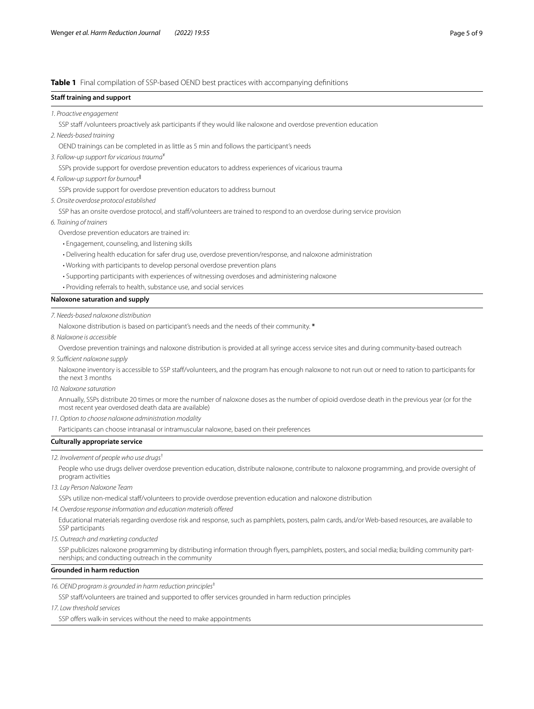#### <span id="page-4-0"></span>**Table 1** Final compilation of SSP-based OEND best practices with accompanying defnitions

#### **Staff training and support**

#### *1. Proactive engagement*

SSP staff /volunteers proactively ask participants if they would like naloxone and overdose prevention education

*2. Needs-based training*

OEND trainings can be completed in as little as 5 min and follows the participant's needs

*3. Follow-up support for vicarious trauma*¥

SSPs provide support for overdose prevention educators to address experiences of vicarious trauma

*4. Follow-up support for burnout*‖

SSPs provide support for overdose prevention educators to address burnout

*5. Onsite overdose protocol established*

SSP has an onsite overdose protocol, and staf/volunteers are trained to respond to an overdose during service provision

- *6. Training of trainers*
	- Overdose prevention educators are trained in:
	- Engagement, counseling, and listening skills
	- Delivering health education for safer drug use, overdose prevention/response, and naloxone administration
	- Working with participants to develop personal overdose prevention plans
	- Supporting participants with experiences of witnessing overdoses and administering naloxone
	- Providing referrals to health, substance use, and social services

#### **Naloxone saturation and supply**

#### *7. Needs-based naloxone distribution*

Naloxone distribution is based on participant's needs and the needs of their community. **\***

*8. Naloxone is accessible*

Overdose prevention trainings and naloxone distribution is provided at all syringe access service sites and during community-based outreach

9. Sufficient naloxone supply

Naloxone inventory is accessible to SSP staf/volunteers, and the program has enough naloxone to not run out or need to ration to participants for the next 3 months

*10. Naloxone saturation*

Annually, SSPs distribute 20 times or more the number of naloxone doses as the number of opioid overdose death in the previous year (or for the most recent year overdosed death data are available)

*11. Option to choose naloxone administration modality*

Participants can choose intranasal or intramuscular naloxone, based on their preferences

#### **Culturally appropriate service**

*12. Involvement of people who use drugs*†

People who use drugs deliver overdose prevention education, distribute naloxone, contribute to naloxone programming, and provide oversight of program activities

*13. Lay Person Naloxone Team*

SSPs utilize non-medical staf/volunteers to provide overdose prevention education and naloxone distribution

*14. Overdose response information and education materials ofered*

Educational materials regarding overdose risk and response, such as pamphlets, posters, palm cards, and/or Web-based resources, are available to SSP participants

*15. Outreach and marketing conducted*

SSP publicizes naloxone programming by distributing information through flyers, pamphlets, posters, and social media; building community partnerships; and conducting outreach in the community

#### **Grounded in harm reduction**

*16. OEND program is grounded in harm reduction principles*‡

SSP staff/volunteers are trained and supported to offer services grounded in harm reduction principles

*17. Low threshold services*

SSP offers walk-in services without the need to make appointments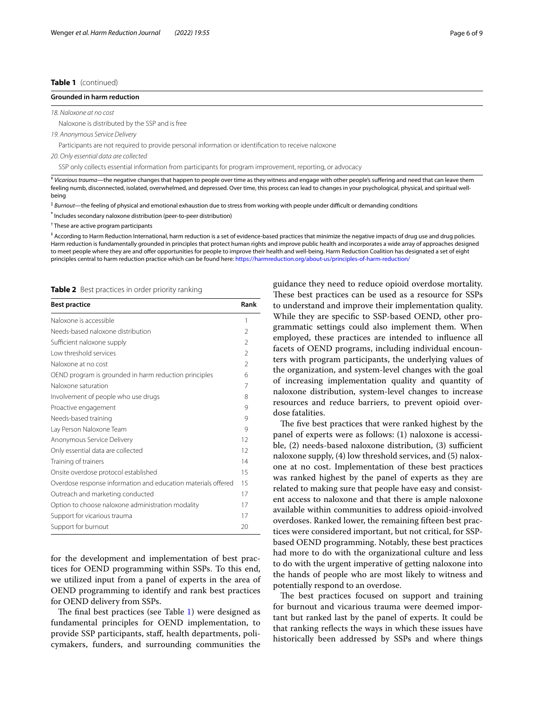#### **Table 1** (continued)

#### **Grounded in harm reduction**

*18. Naloxone at no cost*

Naloxone is distributed by the SSP and is free

*19. Anonymous Service Delivery*

Participants are not required to provide personal information or identifcation to receive naloxone

*20. Only essential data are collected*

SSP only collects essential information from participants for program improvement, reporting, or advocacy

¥ *Vicarious trauma*—the negative changes that happen to people over time as they witness and engage with other people's sufering and need that can leave them feeling numb, disconnected, isolated, overwhelmed, and depressed. Over time, this process can lead to changes in your psychological, physical, and spiritual wellbeing

‖ *Burnout*—the feeling of physical and emotional exhaustion due to stress from working with people under difcult or demanding conditions

**\*** Includes secondary naloxone distribution (peer-to-peer distribution)

† These are active program participants

‡ According to Harm Reduction International, harm reduction is a set of evidence-based practices that minimize the negative impacts of drug use and drug policies. Harm reduction is fundamentally grounded in principles that protect human rights and improve public health and incorporates a wide array of approaches designed to meet people where they are and ofer opportunities for people to improve their health and well-being. Harm Reduction Coalition has designated a set of eight principles central to harm reduction practice which can be found here: <https://harmreduction.org/about-us/principles-of-harm-reduction/>

<span id="page-5-0"></span>**Table 2** Best practices in order priority ranking

| <b>Best practice</b>                                          | Rank           |
|---------------------------------------------------------------|----------------|
| Naloxone is accessible                                        | 1              |
| Needs-based naloxone distribution                             | $\mathfrak{D}$ |
| Sufficient naloxone supply                                    | $\mathfrak{D}$ |
| Low threshold services                                        | $\mathfrak{D}$ |
| Naloxone at no cost                                           | $\mathfrak{D}$ |
| OEND program is grounded in harm reduction principles         | 6              |
| Naloxone saturation                                           | 7              |
| Involvement of people who use drugs                           | 8              |
| Proactive engagement                                          | 9              |
| Needs-based training                                          | 9              |
| Lay Person Naloxone Team                                      | 9              |
| Anonymous Service Delivery                                    | 12             |
| Only essential data are collected                             | 12             |
| Training of trainers                                          | 14             |
| Onsite overdose protocol established                          | 15             |
| Overdose response information and education materials offered | 15             |
| Outreach and marketing conducted                              | 17             |
| Option to choose naloxone administration modality             | 17             |
| Support for vicarious trauma                                  | 17             |
| Support for burnout                                           | 20             |

for the development and implementation of best practices for OEND programming within SSPs. To this end, we utilized input from a panel of experts in the area of OEND programming to identify and rank best practices for OEND delivery from SSPs.

The final best practices (see Table  $1$ ) were designed as fundamental principles for OEND implementation, to provide SSP participants, staf, health departments, policymakers, funders, and surrounding communities the guidance they need to reduce opioid overdose mortality. These best practices can be used as a resource for SSPs to understand and improve their implementation quality. While they are specifc to SSP-based OEND, other programmatic settings could also implement them. When employed, these practices are intended to infuence all facets of OEND programs, including individual encounters with program participants, the underlying values of the organization, and system-level changes with the goal of increasing implementation quality and quantity of naloxone distribution, system-level changes to increase resources and reduce barriers, to prevent opioid overdose fatalities.

The five best practices that were ranked highest by the panel of experts were as follows: (1) naloxone is accessible,  $(2)$  needs-based naloxone distribution,  $(3)$  sufficient naloxone supply, (4) low threshold services, and (5) naloxone at no cost. Implementation of these best practices was ranked highest by the panel of experts as they are related to making sure that people have easy and consistent access to naloxone and that there is ample naloxone available within communities to address opioid-involved overdoses. Ranked lower, the remaining ffteen best practices were considered important, but not critical, for SSPbased OEND programming. Notably, these best practices had more to do with the organizational culture and less to do with the urgent imperative of getting naloxone into the hands of people who are most likely to witness and potentially respond to an overdose.

The best practices focused on support and training for burnout and vicarious trauma were deemed important but ranked last by the panel of experts. It could be that ranking refects the ways in which these issues have historically been addressed by SSPs and where things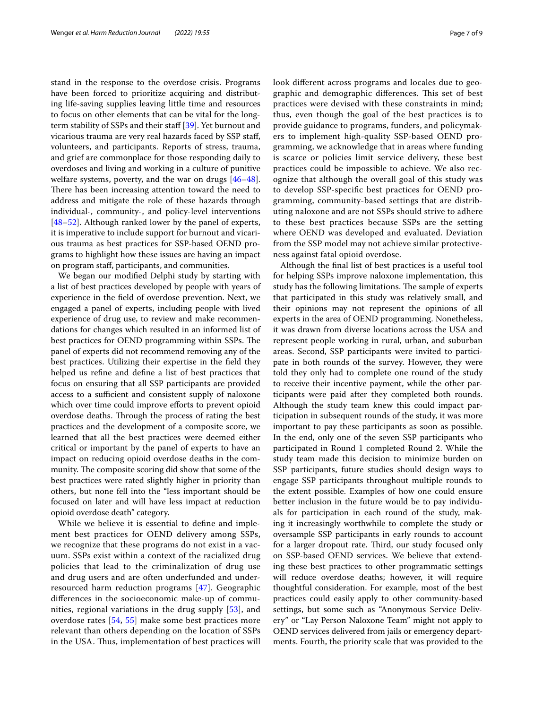stand in the response to the overdose crisis. Programs have been forced to prioritize acquiring and distributing life-saving supplies leaving little time and resources to focus on other elements that can be vital for the long-term stability of SSPs and their staff [[39\]](#page-8-16). Yet burnout and vicarious trauma are very real hazards faced by SSP staf, volunteers, and participants. Reports of stress, trauma, and grief are commonplace for those responding daily to overdoses and living and working in a culture of punitive welfare systems, poverty, and the war on drugs [[46](#page-8-24)[–48](#page-8-25)]. There has been increasing attention toward the need to address and mitigate the role of these hazards through individual-, community-, and policy-level interventions [[48–](#page-8-25)[52](#page-8-26)]. Although ranked lower by the panel of experts, it is imperative to include support for burnout and vicarious trauma as best practices for SSP-based OEND programs to highlight how these issues are having an impact on program staf, participants, and communities.

We began our modifed Delphi study by starting with a list of best practices developed by people with years of experience in the feld of overdose prevention. Next, we engaged a panel of experts, including people with lived experience of drug use, to review and make recommendations for changes which resulted in an informed list of best practices for OEND programming within SSPs. The panel of experts did not recommend removing any of the best practices. Utilizing their expertise in the feld they helped us refne and defne a list of best practices that focus on ensuring that all SSP participants are provided access to a sufficient and consistent supply of naloxone which over time could improve efforts to prevent opioid overdose deaths. Through the process of rating the best practices and the development of a composite score, we learned that all the best practices were deemed either critical or important by the panel of experts to have an impact on reducing opioid overdose deaths in the community. The composite scoring did show that some of the best practices were rated slightly higher in priority than others, but none fell into the "less important should be focused on later and will have less impact at reduction opioid overdose death" category.

While we believe it is essential to defne and implement best practices for OEND delivery among SSPs, we recognize that these programs do not exist in a vacuum. SSPs exist within a context of the racialized drug policies that lead to the criminalization of drug use and drug users and are often underfunded and underresourced harm reduction programs [[47\]](#page-8-27). Geographic diferences in the socioeconomic make-up of communities, regional variations in the drug supply [[53\]](#page-8-28), and overdose rates [\[54](#page-8-29), [55\]](#page-8-30) make some best practices more relevant than others depending on the location of SSPs in the USA. Thus, implementation of best practices will look diferent across programs and locales due to geographic and demographic differences. This set of best practices were devised with these constraints in mind; thus, even though the goal of the best practices is to provide guidance to programs, funders, and policymakers to implement high-quality SSP-based OEND programming, we acknowledge that in areas where funding is scarce or policies limit service delivery, these best practices could be impossible to achieve. We also recognize that although the overall goal of this study was to develop SSP-specifc best practices for OEND programming, community-based settings that are distributing naloxone and are not SSPs should strive to adhere to these best practices because SSPs are the setting where OEND was developed and evaluated. Deviation from the SSP model may not achieve similar protectiveness against fatal opioid overdose.

Although the fnal list of best practices is a useful tool for helping SSPs improve naloxone implementation, this study has the following limitations. The sample of experts that participated in this study was relatively small, and their opinions may not represent the opinions of all experts in the area of OEND programming. Nonetheless, it was drawn from diverse locations across the USA and represent people working in rural, urban, and suburban areas. Second, SSP participants were invited to participate in both rounds of the survey. However, they were told they only had to complete one round of the study to receive their incentive payment, while the other participants were paid after they completed both rounds. Although the study team knew this could impact participation in subsequent rounds of the study, it was more important to pay these participants as soon as possible. In the end, only one of the seven SSP participants who participated in Round 1 completed Round 2. While the study team made this decision to minimize burden on SSP participants, future studies should design ways to engage SSP participants throughout multiple rounds to the extent possible. Examples of how one could ensure better inclusion in the future would be to pay individuals for participation in each round of the study, making it increasingly worthwhile to complete the study or oversample SSP participants in early rounds to account for a larger dropout rate. Third, our study focused only on SSP-based OEND services. We believe that extending these best practices to other programmatic settings will reduce overdose deaths; however, it will require thoughtful consideration. For example, most of the best practices could easily apply to other community-based settings, but some such as "Anonymous Service Delivery" or "Lay Person Naloxone Team" might not apply to OEND services delivered from jails or emergency departments. Fourth, the priority scale that was provided to the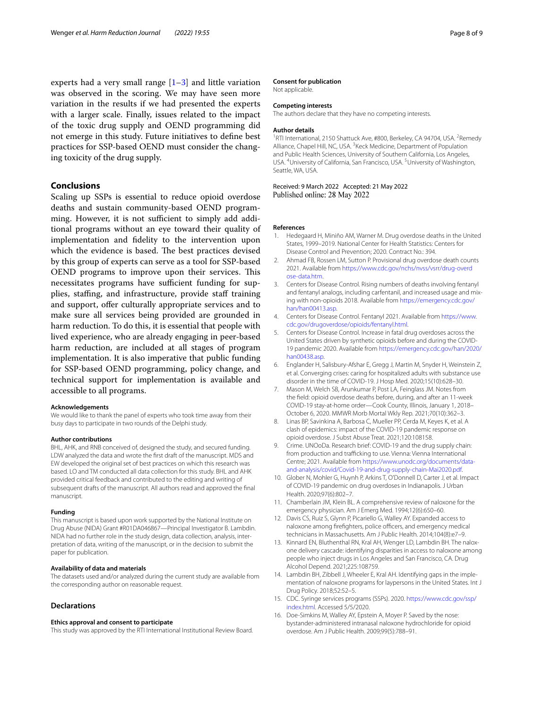experts had a very small range  $[1-3]$  $[1-3]$  and little variation was observed in the scoring. We may have seen more variation in the results if we had presented the experts with a larger scale. Finally, issues related to the impact of the toxic drug supply and OEND programming did not emerge in this study. Future initiatives to defne best practices for SSP-based OEND must consider the changing toxicity of the drug supply.

#### **Conclusions**

Scaling up SSPs is essential to reduce opioid overdose deaths and sustain community-based OEND programming. However, it is not sufficient to simply add additional programs without an eye toward their quality of implementation and fdelity to the intervention upon which the evidence is based. The best practices devised by this group of experts can serve as a tool for SSP-based OEND programs to improve upon their services. This necessitates programs have sufficient funding for supplies, staffing, and infrastructure, provide staff training and support, offer culturally appropriate services and to make sure all services being provided are grounded in harm reduction. To do this, it is essential that people with lived experience, who are already engaging in peer-based harm reduction, are included at all stages of program implementation. It is also imperative that public funding for SSP-based OEND programming, policy change, and technical support for implementation is available and accessible to all programs.

#### **Acknowledgements**

We would like to thank the panel of experts who took time away from their busy days to participate in two rounds of the Delphi study.

#### **Author contributions**

BHL, AHK, and RNB conceived of, designed the study, and secured funding. LDW analyzed the data and wrote the frst draft of the manuscript. MDS and EW developed the original set of best practices on which this research was based. LO and TM conducted all data collection for this study. BHL and AHK provided critical feedback and contributed to the editing and writing of subsequent drafts of the manuscript. All authors read and approved the fnal manuscript.

#### **Funding**

This manuscript is based upon work supported by the National Institute on Drug Abuse (NIDA) Grant #R01DA046867—Principal Investigator B. Lambdin. NIDA had no further role in the study design, data collection, analysis, interpretation of data, writing of the manuscript, or in the decision to submit the paper for publication.

#### **Availability of data and materials**

The datasets used and/or analyzed during the current study are available from the corresponding author on reasonable request.

#### **Declarations**

#### **Ethics approval and consent to participate**

This study was approved by the RTI International Institutional Review Board.

#### **Consent for publication**

Not applicable.

#### **Competing interests**

The authors declare that they have no competing interests.

#### **Author details**

<sup>1</sup>RTI International, 2150 Shattuck Ave, #800, Berkeley, CA 94704, USA. <sup>2</sup>Remedy Alliance, Chapel Hill, NC, USA. <sup>3</sup> Keck Medicine, Department of Population and Public Health Sciences, University of Southern California, Los Angeles, USA. <sup>4</sup>University of California, San Francisco, USA. <sup>5</sup>University of Washington, Seattle, WA, USA.

# Received: 9 March 2022 Accepted: 21 May 2022<br>Published online: 28 May 2022

#### **References**

- <span id="page-7-0"></span>1. Hedegaard H, Miniño AM, Warner M. Drug overdose deaths in the United States, 1999–2019. National Center for Health Statistics: Centers for Disease Control and Prevention; 2020. Contract No.: 394.
- <span id="page-7-1"></span>2. Ahmad FB, Rossen LM, Sutton P. Provisional drug overdose death counts 2021. Available from [https://www.cdc.gov/nchs/nvss/vsrr/drug-overd](https://www.cdc.gov/nchs/nvss/vsrr/drug-overdose-data.htm) [ose-data.htm.](https://www.cdc.gov/nchs/nvss/vsrr/drug-overdose-data.htm)
- <span id="page-7-2"></span>3. Centers for Disease Control. Rising numbers of deaths involving fentanyl and fentanyl analogs, including carfentanil, and increased usage and mixing with non-opioids 2018. Available from [https://emergency.cdc.gov/](https://emergency.cdc.gov/han/han00413.asp) [han/han00413.asp](https://emergency.cdc.gov/han/han00413.asp).
- 4. Centers for Disease Control. Fentanyl 2021. Available from [https://www.](https://www.cdc.gov/drugoverdose/opioids/fentanyl.html) [cdc.gov/drugoverdose/opioids/fentanyl.html](https://www.cdc.gov/drugoverdose/opioids/fentanyl.html).
- <span id="page-7-3"></span>5. Centers for Disease Control. Increase in fatal drug overdoses across the United States driven by synthetic opioids before and during the COVID-19 pandemic 2020. Available from [https://emergency.cdc.gov/han/2020/](https://emergency.cdc.gov/han/2020/han00438.asp) [han00438.asp.](https://emergency.cdc.gov/han/2020/han00438.asp)
- <span id="page-7-4"></span>6. Englander H, Salisbury-Afshar E, Gregg J, Martin M, Snyder H, Weinstein Z, et al. Converging crises: caring for hospitalized adults with substance use disorder in the time of COVID-19. J Hosp Med. 2020;15(10):628–30.
- <span id="page-7-5"></span>7. Mason M, Welch SB, Arunkumar P, Post LA, Feinglass JM. Notes from the feld: opioid overdose deaths before, during, and after an 11-week COVID-19 stay-at-home order—Cook County, Illinois, January 1, 2018– October 6, 2020. MMWR Morb Mortal Wkly Rep. 2021;70(10):362–3.
- <span id="page-7-6"></span>8. Linas BP, Savinkina A, Barbosa C, Mueller PP, Cerda M, Keyes K, et al. A clash of epidemics: impact of the COVID-19 pandemic response on opioid overdose. J Subst Abuse Treat. 2021;120:108158.
- <span id="page-7-7"></span>9. Crime. UNOoDa. Research brief: COVID-19 and the drug supply chain: from production and trafficking to use. Vienna: Vienna International Centre; 2021. Available from [https://www.unodc.org/documents/data](https://www.unodc.org/documents/data-and-analysis/covid/Covid-19-and-drug-supply-chain-Mai2020.pdf) [and-analysis/covid/Covid-19-and-drug-supply-chain-Mai2020.pdf](https://www.unodc.org/documents/data-and-analysis/covid/Covid-19-and-drug-supply-chain-Mai2020.pdf).
- <span id="page-7-8"></span>10. Glober N, Mohler G, Huynh P, Arkins T, O'Donnell D, Carter J, et al. Impact of COVID-19 pandemic on drug overdoses in Indianapolis. J Urban Health. 2020;97(6):802–7.
- <span id="page-7-9"></span>11. Chamberlain JM, Klein BL. A comprehensive review of naloxone for the emergency physician. Am J Emerg Med. 1994;12(6):650–60.
- <span id="page-7-10"></span>12. Davis CS, Ruiz S, Glynn P, Picariello G, Walley AY. Expanded access to naloxone among firefighters, police officers, and emergency medical technicians in Massachusetts. Am J Public Health. 2014;104(8):e7–9.
- 13. Kinnard EN, Bluthenthal RN, Kral AH, Wenger LD, Lambdin BH. The naloxone delivery cascade: identifying disparities in access to naloxone among people who inject drugs in Los Angeles and San Francisco, CA. Drug Alcohol Depend. 2021;225:108759.
- <span id="page-7-11"></span>14. Lambdin BH, Zibbell J, Wheeler E, Kral AH. Identifying gaps in the implementation of naloxone programs for laypersons in the United States. Int J Drug Policy. 2018;52:52–5.
- <span id="page-7-12"></span>15. CDC. Syringe services programs (SSPs). 2020. [https://www.cdc.gov/ssp/](https://www.cdc.gov/ssp/index.html) [index.html.](https://www.cdc.gov/ssp/index.html) Accessed 5/5/2020.
- <span id="page-7-13"></span>16. Doe-Simkins M, Walley AY, Epstein A, Moyer P. Saved by the nose: bystander-administered intranasal naloxone hydrochloride for opioid overdose. Am J Public Health. 2009;99(5):788–91.